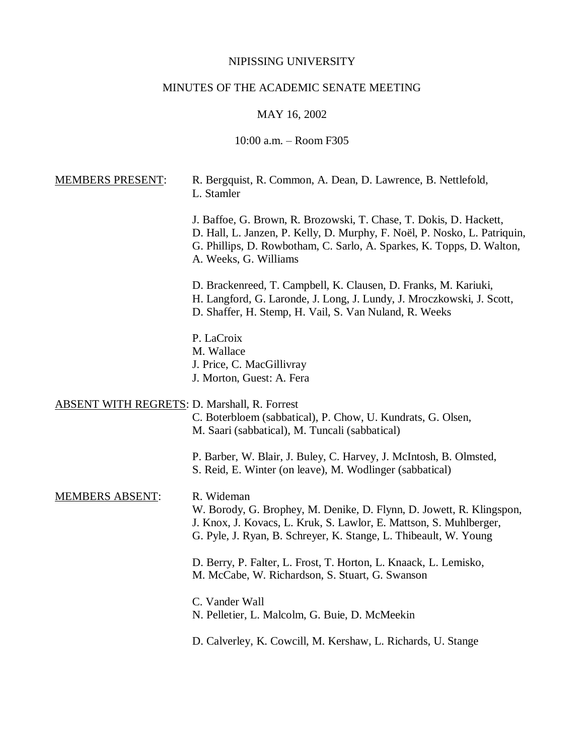## NIPISSING UNIVERSITY

# MINUTES OF THE ACADEMIC SENATE MEETING

## MAY 16, 2002

## 10:00 a.m. – Room F305

| <b>MEMBERS PRESENT:</b>                             | R. Bergquist, R. Common, A. Dean, D. Lawrence, B. Nettlefold,<br>L. Stamler                                                                                                                                                                       |
|-----------------------------------------------------|---------------------------------------------------------------------------------------------------------------------------------------------------------------------------------------------------------------------------------------------------|
|                                                     | J. Baffoe, G. Brown, R. Brozowski, T. Chase, T. Dokis, D. Hackett,<br>D. Hall, L. Janzen, P. Kelly, D. Murphy, F. Noël, P. Nosko, L. Patriquin,<br>G. Phillips, D. Rowbotham, C. Sarlo, A. Sparkes, K. Topps, D. Walton,<br>A. Weeks, G. Williams |
|                                                     | D. Brackenreed, T. Campbell, K. Clausen, D. Franks, M. Kariuki,<br>H. Langford, G. Laronde, J. Long, J. Lundy, J. Mroczkowski, J. Scott,<br>D. Shaffer, H. Stemp, H. Vail, S. Van Nuland, R. Weeks                                                |
|                                                     | P. LaCroix<br>M. Wallace<br>J. Price, C. MacGillivray<br>J. Morton, Guest: A. Fera                                                                                                                                                                |
| <b>ABSENT WITH REGRETS: D. Marshall, R. Forrest</b> | C. Boterbloem (sabbatical), P. Chow, U. Kundrats, G. Olsen,<br>M. Saari (sabbatical), M. Tuncali (sabbatical)                                                                                                                                     |
|                                                     | P. Barber, W. Blair, J. Buley, C. Harvey, J. McIntosh, B. Olmsted,<br>S. Reid, E. Winter (on leave), M. Wodlinger (sabbatical)                                                                                                                    |
| <b>MEMBERS ABSENT:</b>                              | R. Wideman<br>W. Borody, G. Brophey, M. Denike, D. Flynn, D. Jowett, R. Klingspon,<br>J. Knox, J. Kovacs, L. Kruk, S. Lawlor, E. Mattson, S. Muhlberger,<br>G. Pyle, J. Ryan, B. Schreyer, K. Stange, L. Thibeault, W. Young                      |
|                                                     | D. Berry, P. Falter, L. Frost, T. Horton, L. Knaack, L. Lemisko,<br>M. McCabe, W. Richardson, S. Stuart, G. Swanson                                                                                                                               |
|                                                     | C. Vander Wall<br>N. Pelletier, L. Malcolm, G. Buie, D. McMeekin                                                                                                                                                                                  |
|                                                     | D. Calverley, K. Cowcill, M. Kershaw, L. Richards, U. Stange                                                                                                                                                                                      |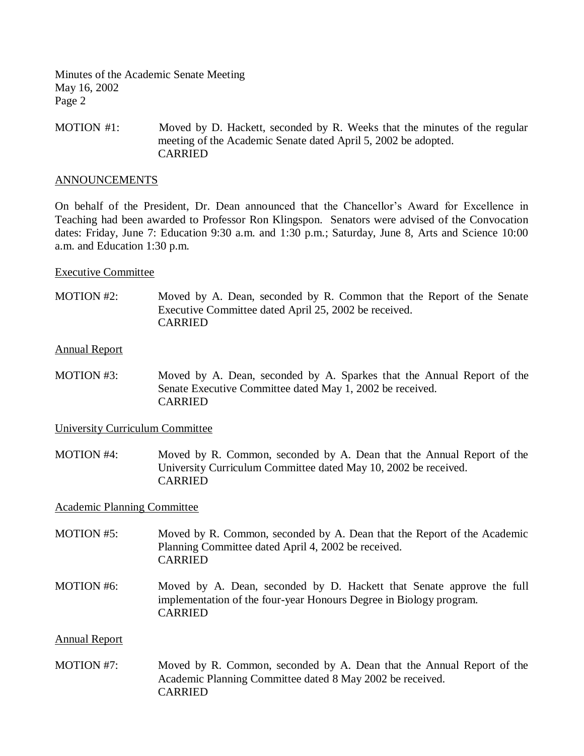MOTION #1: Moved by D. Hackett, seconded by R. Weeks that the minutes of the regular meeting of the Academic Senate dated April 5, 2002 be adopted. CARRIED

### ANNOUNCEMENTS

On behalf of the President, Dr. Dean announced that the Chancellor's Award for Excellence in Teaching had been awarded to Professor Ron Klingspon. Senators were advised of the Convocation dates: Friday, June 7: Education 9:30 a.m. and 1:30 p.m.; Saturday, June 8, Arts and Science 10:00 a.m. and Education 1:30 p.m.

### Executive Committee

MOTION #2: Moved by A. Dean, seconded by R. Common that the Report of the Senate Executive Committee dated April 25, 2002 be received. CARRIED

#### Annual Report

MOTION #3: Moved by A. Dean, seconded by A. Sparkes that the Annual Report of the Senate Executive Committee dated May 1, 2002 be received. CARRIED

### University Curriculum Committee

MOTION #4: Moved by R. Common, seconded by A. Dean that the Annual Report of the University Curriculum Committee dated May 10, 2002 be received. CARRIED

### Academic Planning Committee

- MOTION #5: Moved by R. Common, seconded by A. Dean that the Report of the Academic Planning Committee dated April 4, 2002 be received. CARRIED
- MOTION #6: Moved by A. Dean, seconded by D. Hackett that Senate approve the full implementation of the four-year Honours Degree in Biology program. CARRIED

### Annual Report

MOTION #7: Moved by R. Common, seconded by A. Dean that the Annual Report of the Academic Planning Committee dated 8 May 2002 be received. CARRIED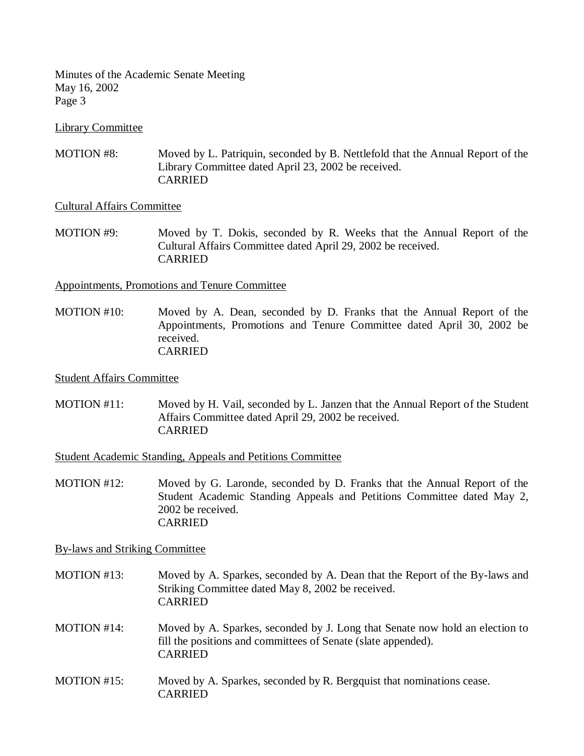Library Committee

MOTION #8: Moved by L. Patriquin, seconded by B. Nettlefold that the Annual Report of the Library Committee dated April 23, 2002 be received. CARRIED

### Cultural Affairs Committee

MOTION #9: Moved by T. Dokis, seconded by R. Weeks that the Annual Report of the Cultural Affairs Committee dated April 29, 2002 be received. CARRIED

Appointments, Promotions and Tenure Committee

MOTION #10: Moved by A. Dean, seconded by D. Franks that the Annual Report of the Appointments, Promotions and Tenure Committee dated April 30, 2002 be received. CARRIED

### Student Affairs Committee

MOTION #11: Moved by H. Vail, seconded by L. Janzen that the Annual Report of the Student Affairs Committee dated April 29, 2002 be received. CARRIED

Student Academic Standing, Appeals and Petitions Committee

MOTION #12: Moved by G. Laronde, seconded by D. Franks that the Annual Report of the Student Academic Standing Appeals and Petitions Committee dated May 2, 2002 be received. **CARRIED** 

By-laws and Striking Committee

- MOTION #13: Moved by A. Sparkes, seconded by A. Dean that the Report of the By-laws and Striking Committee dated May 8, 2002 be received. CARRIED
- MOTION #14: Moved by A. Sparkes, seconded by J. Long that Senate now hold an election to fill the positions and committees of Senate (slate appended). CARRIED
- MOTION #15: Moved by A. Sparkes, seconded by R. Bergquist that nominations cease. CARRIED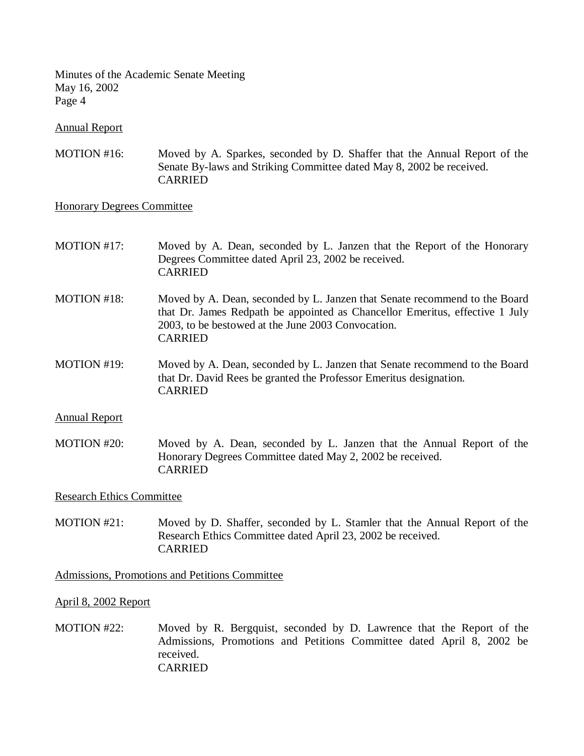Annual Report

MOTION #16: Moved by A. Sparkes, seconded by D. Shaffer that the Annual Report of the Senate By-laws and Striking Committee dated May 8, 2002 be received. CARRIED

### Honorary Degrees Committee

- MOTION #17: Moved by A. Dean, seconded by L. Janzen that the Report of the Honorary Degrees Committee dated April 23, 2002 be received. CARRIED
- MOTION #18: Moved by A. Dean, seconded by L. Janzen that Senate recommend to the Board that Dr. James Redpath be appointed as Chancellor Emeritus, effective 1 July 2003, to be bestowed at the June 2003 Convocation. CARRIED
- MOTION #19: Moved by A. Dean, seconded by L. Janzen that Senate recommend to the Board that Dr. David Rees be granted the Professor Emeritus designation. CARRIED
- Annual Report
- MOTION #20: Moved by A. Dean, seconded by L. Janzen that the Annual Report of the Honorary Degrees Committee dated May 2, 2002 be received. CARRIED

Research Ethics Committee

MOTION #21: Moved by D. Shaffer, seconded by L. Stamler that the Annual Report of the Research Ethics Committee dated April 23, 2002 be received. CARRIED

Admissions, Promotions and Petitions Committee

### April 8, 2002 Report

MOTION #22: Moved by R. Bergquist, seconded by D. Lawrence that the Report of the Admissions, Promotions and Petitions Committee dated April 8, 2002 be received. CARRIED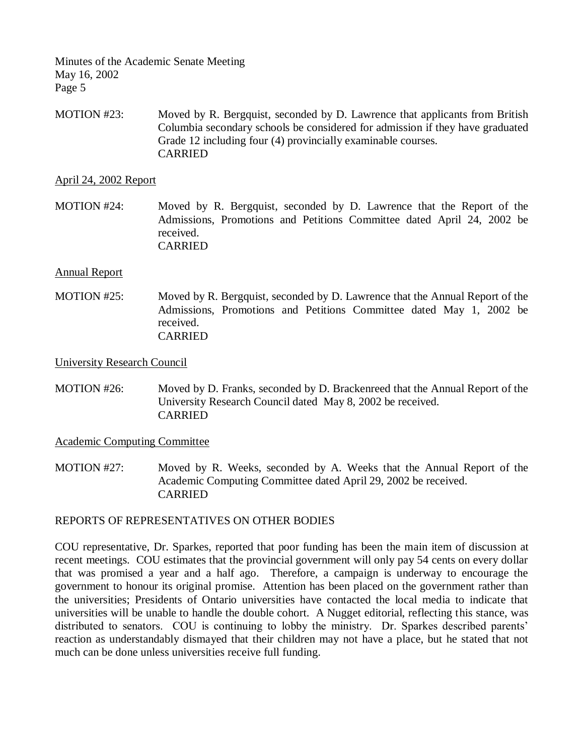MOTION #23: Moved by R. Bergquist, seconded by D. Lawrence that applicants from British Columbia secondary schools be considered for admission if they have graduated Grade 12 including four (4) provincially examinable courses. CARRIED

April 24, 2002 Report

MOTION #24: Moved by R. Bergquist, seconded by D. Lawrence that the Report of the Admissions, Promotions and Petitions Committee dated April 24, 2002 be received. CARRIED

### Annual Report

MOTION #25: Moved by R. Bergquist, seconded by D. Lawrence that the Annual Report of the Admissions, Promotions and Petitions Committee dated May 1, 2002 be received. CARRIED

University Research Council

MOTION #26: Moved by D. Franks, seconded by D. Brackenreed that the Annual Report of the University Research Council dated May 8, 2002 be received. CARRIED

Academic Computing Committee

MOTION #27: Moved by R. Weeks, seconded by A. Weeks that the Annual Report of the Academic Computing Committee dated April 29, 2002 be received. CARRIED

### REPORTS OF REPRESENTATIVES ON OTHER BODIES

COU representative, Dr. Sparkes, reported that poor funding has been the main item of discussion at recent meetings. COU estimates that the provincial government will only pay 54 cents on every dollar that was promised a year and a half ago. Therefore, a campaign is underway to encourage the government to honour its original promise. Attention has been placed on the government rather than the universities; Presidents of Ontario universities have contacted the local media to indicate that universities will be unable to handle the double cohort. A Nugget editorial, reflecting this stance, was distributed to senators. COU is continuing to lobby the ministry. Dr. Sparkes described parents' reaction as understandably dismayed that their children may not have a place, but he stated that not much can be done unless universities receive full funding.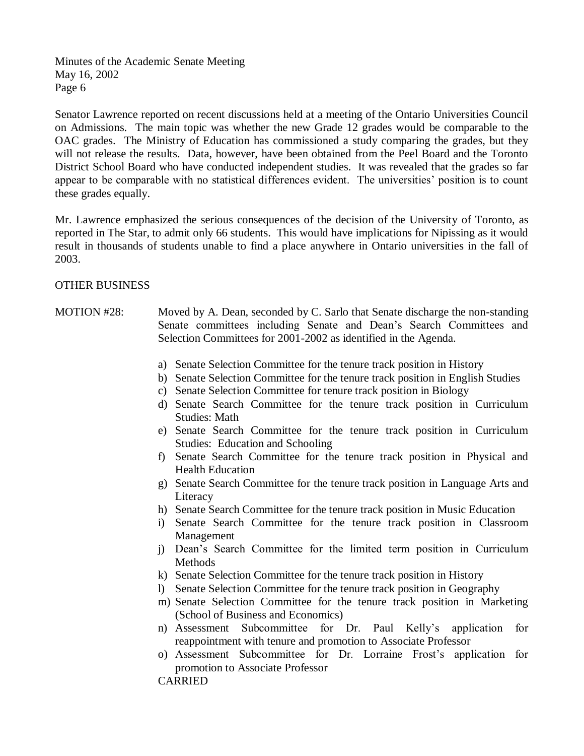Senator Lawrence reported on recent discussions held at a meeting of the Ontario Universities Council on Admissions. The main topic was whether the new Grade 12 grades would be comparable to the OAC grades. The Ministry of Education has commissioned a study comparing the grades, but they will not release the results. Data, however, have been obtained from the Peel Board and the Toronto District School Board who have conducted independent studies. It was revealed that the grades so far appear to be comparable with no statistical differences evident. The universities' position is to count these grades equally.

Mr. Lawrence emphasized the serious consequences of the decision of the University of Toronto, as reported in The Star, to admit only 66 students. This would have implications for Nipissing as it would result in thousands of students unable to find a place anywhere in Ontario universities in the fall of 2003.

### OTHER BUSINESS

- MOTION #28: Moved by A. Dean, seconded by C. Sarlo that Senate discharge the non-standing Senate committees including Senate and Dean's Search Committees and Selection Committees for 2001-2002 as identified in the Agenda.
	- a) Senate Selection Committee for the tenure track position in History
	- b) Senate Selection Committee for the tenure track position in English Studies
	- c) Senate Selection Committee for tenure track position in Biology
	- d) Senate Search Committee for the tenure track position in Curriculum Studies: Math
	- e) Senate Search Committee for the tenure track position in Curriculum Studies: Education and Schooling
	- f) Senate Search Committee for the tenure track position in Physical and Health Education
	- g) Senate Search Committee for the tenure track position in Language Arts and Literacy
	- h) Senate Search Committee for the tenure track position in Music Education
	- i) Senate Search Committee for the tenure track position in Classroom Management
	- j) Dean's Search Committee for the limited term position in Curriculum Methods
	- k) Senate Selection Committee for the tenure track position in History
	- l) Senate Selection Committee for the tenure track position in Geography
	- m) Senate Selection Committee for the tenure track position in Marketing (School of Business and Economics)
	- n) Assessment Subcommittee for Dr. Paul Kelly's application for reappointment with tenure and promotion to Associate Professor
	- o) Assessment Subcommittee for Dr. Lorraine Frost's application for promotion to Associate Professor

CARRIED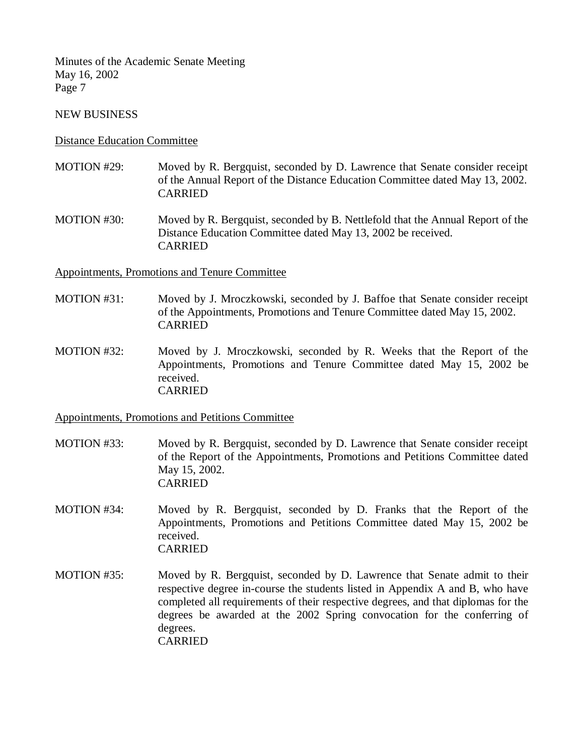### NEW BUSINESS

### Distance Education Committee

- MOTION #29: Moved by R. Bergquist, seconded by D. Lawrence that Senate consider receipt of the Annual Report of the Distance Education Committee dated May 13, 2002. CARRIED
- MOTION #30: Moved by R. Bergquist, seconded by B. Nettlefold that the Annual Report of the Distance Education Committee dated May 13, 2002 be received. CARRIED

Appointments, Promotions and Tenure Committee

- MOTION #31: Moved by J. Mroczkowski, seconded by J. Baffoe that Senate consider receipt of the Appointments, Promotions and Tenure Committee dated May 15, 2002. CARRIED
- MOTION #32: Moved by J. Mroczkowski, seconded by R. Weeks that the Report of the Appointments, Promotions and Tenure Committee dated May 15, 2002 be received. CARRIED

### Appointments, Promotions and Petitions Committee

- MOTION #33: Moved by R. Bergquist, seconded by D. Lawrence that Senate consider receipt of the Report of the Appointments, Promotions and Petitions Committee dated May 15, 2002. CARRIED
- MOTION #34: Moved by R. Bergquist, seconded by D. Franks that the Report of the Appointments, Promotions and Petitions Committee dated May 15, 2002 be received. CARRIED
- MOTION #35: Moved by R. Bergquist, seconded by D. Lawrence that Senate admit to their respective degree in-course the students listed in Appendix A and B, who have completed all requirements of their respective degrees, and that diplomas for the degrees be awarded at the 2002 Spring convocation for the conferring of degrees. CARRIED